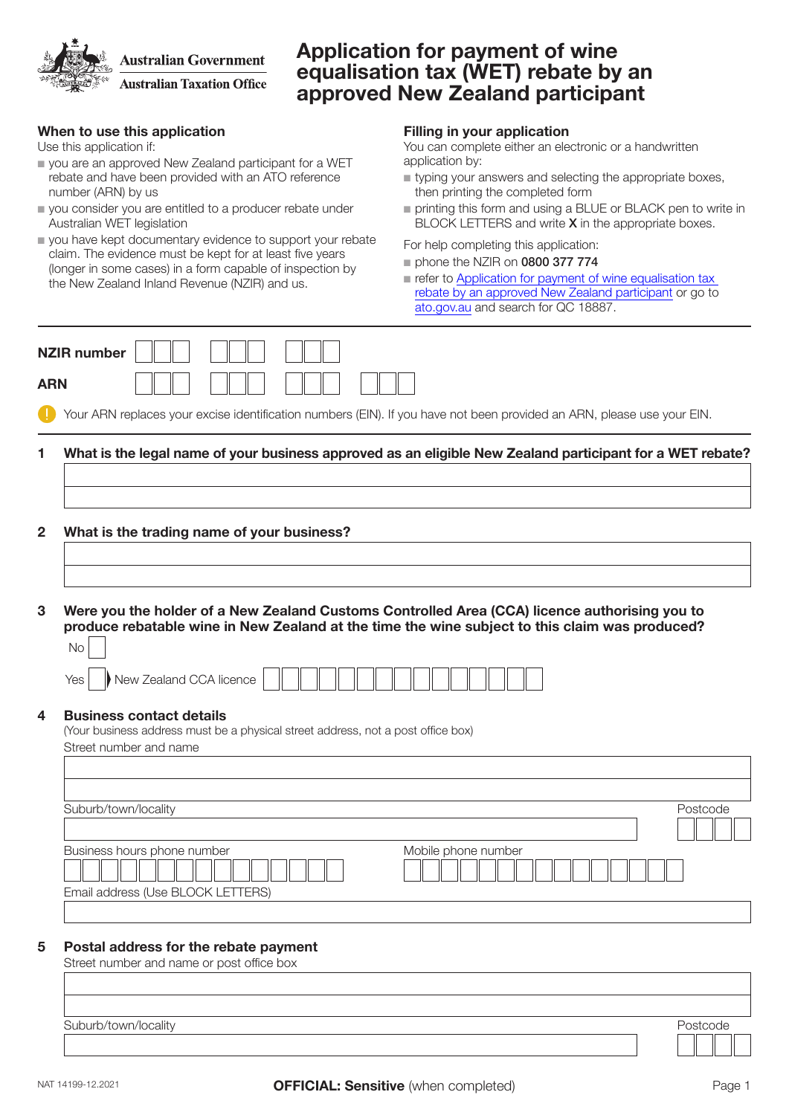**Australian Government** 



**Australian Taxation Office** 

## Application for payment of wine equalisation tax (WET) rebate by an approved New Zealand participant

### When to use this application

Use this application if:

- $\blacksquare$  you are an approved New Zealand participant for a WET rebate and have been provided with an ATO reference number (ARN) by us
- $\blacksquare$  you consider you are entitled to a producer rebate under Australian WET legislation
- $\blacksquare$  you have kept documentary evidence to support your rebate claim. The evidence must be kept for at least five years (longer in some cases) in a form capable of inspection by the New Zealand Inland Revenue (NZIR) and us.

### Filling in your application

You can complete either an electronic or a handwritten application by:

- $\blacksquare$  typing your answers and selecting the appropriate boxes, then printing the completed form
- printing this form and using a BLUE or BLACK pen to write in BLOCK LETTERS and write X in the appropriate boxes.

For help completing this application:

- $p$  phone the NZIR on 0800 377 774
- n refer to Application for payment of wine equalisation tax [rebate by an approved New Zealand participant](https://www.ato.gov.au/Forms/Payment-of-wine-equalisation-tax-rebate-by-New-Zealand-participant/) or go to [ato.gov.au](http://ato.gov.au) and search for QC 18887.

| <b>ARN</b><br>Your ARN replaces your excise identification numbers (EIN). If you have not been provided an ARN, please use your EIN.<br>What is the legal name of your business approved as an eligible New Zealand participant for a WET rebate?<br>$\overline{2}$<br>What is the trading name of your business?<br>Were you the holder of a New Zealand Customs Controlled Area (CCA) licence authorising you to<br>3<br>produce rebatable wine in New Zealand at the time the wine subject to this claim was produced?<br><b>No</b><br>New Zealand CCA licence<br>Yes<br><b>Business contact details</b><br>4<br>(Your business address must be a physical street address, not a post office box)<br>Street number and name<br>Suburb/town/locality<br>Business hours phone number<br>Mobile phone number<br>Email address (Use BLOCK LETTERS)<br>Postal address for the rebate payment<br>5<br>Street number and name or post office box | <b>NZIR number</b> |          |
|----------------------------------------------------------------------------------------------------------------------------------------------------------------------------------------------------------------------------------------------------------------------------------------------------------------------------------------------------------------------------------------------------------------------------------------------------------------------------------------------------------------------------------------------------------------------------------------------------------------------------------------------------------------------------------------------------------------------------------------------------------------------------------------------------------------------------------------------------------------------------------------------------------------------------------------------|--------------------|----------|
|                                                                                                                                                                                                                                                                                                                                                                                                                                                                                                                                                                                                                                                                                                                                                                                                                                                                                                                                              |                    |          |
|                                                                                                                                                                                                                                                                                                                                                                                                                                                                                                                                                                                                                                                                                                                                                                                                                                                                                                                                              |                    |          |
|                                                                                                                                                                                                                                                                                                                                                                                                                                                                                                                                                                                                                                                                                                                                                                                                                                                                                                                                              |                    |          |
|                                                                                                                                                                                                                                                                                                                                                                                                                                                                                                                                                                                                                                                                                                                                                                                                                                                                                                                                              |                    |          |
|                                                                                                                                                                                                                                                                                                                                                                                                                                                                                                                                                                                                                                                                                                                                                                                                                                                                                                                                              |                    |          |
|                                                                                                                                                                                                                                                                                                                                                                                                                                                                                                                                                                                                                                                                                                                                                                                                                                                                                                                                              |                    |          |
|                                                                                                                                                                                                                                                                                                                                                                                                                                                                                                                                                                                                                                                                                                                                                                                                                                                                                                                                              |                    |          |
|                                                                                                                                                                                                                                                                                                                                                                                                                                                                                                                                                                                                                                                                                                                                                                                                                                                                                                                                              |                    |          |
|                                                                                                                                                                                                                                                                                                                                                                                                                                                                                                                                                                                                                                                                                                                                                                                                                                                                                                                                              |                    |          |
|                                                                                                                                                                                                                                                                                                                                                                                                                                                                                                                                                                                                                                                                                                                                                                                                                                                                                                                                              |                    |          |
|                                                                                                                                                                                                                                                                                                                                                                                                                                                                                                                                                                                                                                                                                                                                                                                                                                                                                                                                              |                    |          |
|                                                                                                                                                                                                                                                                                                                                                                                                                                                                                                                                                                                                                                                                                                                                                                                                                                                                                                                                              |                    |          |
|                                                                                                                                                                                                                                                                                                                                                                                                                                                                                                                                                                                                                                                                                                                                                                                                                                                                                                                                              |                    |          |
|                                                                                                                                                                                                                                                                                                                                                                                                                                                                                                                                                                                                                                                                                                                                                                                                                                                                                                                                              |                    | Postcode |
|                                                                                                                                                                                                                                                                                                                                                                                                                                                                                                                                                                                                                                                                                                                                                                                                                                                                                                                                              |                    |          |
|                                                                                                                                                                                                                                                                                                                                                                                                                                                                                                                                                                                                                                                                                                                                                                                                                                                                                                                                              |                    |          |
|                                                                                                                                                                                                                                                                                                                                                                                                                                                                                                                                                                                                                                                                                                                                                                                                                                                                                                                                              |                    |          |
|                                                                                                                                                                                                                                                                                                                                                                                                                                                                                                                                                                                                                                                                                                                                                                                                                                                                                                                                              |                    |          |
|                                                                                                                                                                                                                                                                                                                                                                                                                                                                                                                                                                                                                                                                                                                                                                                                                                                                                                                                              |                    |          |
|                                                                                                                                                                                                                                                                                                                                                                                                                                                                                                                                                                                                                                                                                                                                                                                                                                                                                                                                              |                    |          |

Suburb/town/locality Postcode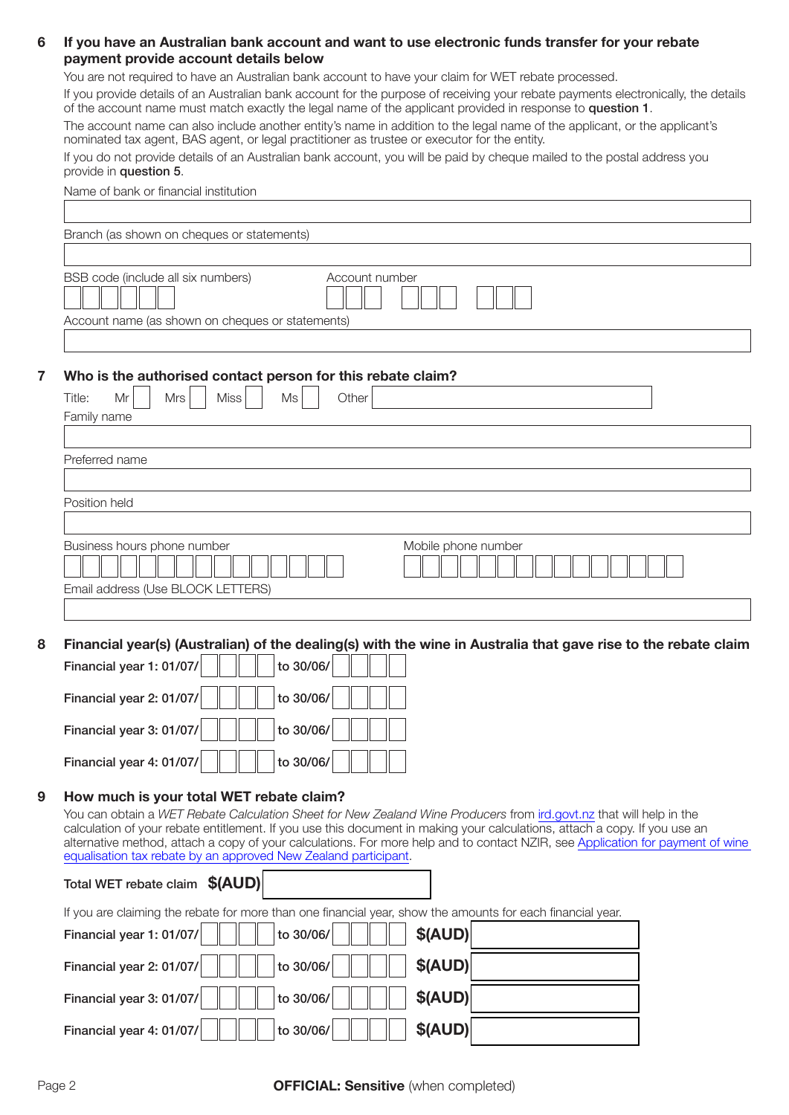### 6 If you have an Australian bank account and want to use electronic funds transfer for your rebate payment provide account details below

You are not required to have an Australian bank account to have your claim for WET rebate processed.

If you provide details of an Australian bank account for the purpose of receiving your rebate payments electronically, the details of the account name must match exactly the legal name of the applicant provided in response to question 1.

The account name can also include another entity's name in addition to the legal name of the applicant, or the applicant's nominated tax agent, BAS agent, or legal practitioner as trustee or executor for the entity.

If you do not provide details of an Australian bank account, you will be paid by cheque mailed to the postal address you provide in question 5.

|   | Name of bank or financial institution                                                                                                                                                                                                             |
|---|---------------------------------------------------------------------------------------------------------------------------------------------------------------------------------------------------------------------------------------------------|
|   |                                                                                                                                                                                                                                                   |
|   | Branch (as shown on cheques or statements)                                                                                                                                                                                                        |
|   |                                                                                                                                                                                                                                                   |
|   | BSB code (include all six numbers)<br>Account number                                                                                                                                                                                              |
|   |                                                                                                                                                                                                                                                   |
|   | Account name (as shown on cheques or statements)                                                                                                                                                                                                  |
|   |                                                                                                                                                                                                                                                   |
|   |                                                                                                                                                                                                                                                   |
| 7 | Who is the authorised contact person for this rebate claim?                                                                                                                                                                                       |
|   | <b>Miss</b><br>Title:<br>Mr<br>Mrs<br>Ms<br>Other<br>Family name                                                                                                                                                                                  |
|   |                                                                                                                                                                                                                                                   |
|   | Preferred name                                                                                                                                                                                                                                    |
|   |                                                                                                                                                                                                                                                   |
|   | Position held                                                                                                                                                                                                                                     |
|   |                                                                                                                                                                                                                                                   |
|   | Business hours phone number<br>Mobile phone number                                                                                                                                                                                                |
|   |                                                                                                                                                                                                                                                   |
|   | Email address (Use BLOCK LETTERS)                                                                                                                                                                                                                 |
|   |                                                                                                                                                                                                                                                   |
|   |                                                                                                                                                                                                                                                   |
| 8 | Financial year(s) (Australian) of the dealing(s) with the wine in Australia that gave rise to the rebate claim                                                                                                                                    |
|   | to 30/06/<br>Financial year 1: 01/07/                                                                                                                                                                                                             |
|   | to 30/06/<br>Financial year 2: 01/07/                                                                                                                                                                                                             |
|   |                                                                                                                                                                                                                                                   |
|   | to 30/06/<br>Financial year 3: 01/07/                                                                                                                                                                                                             |
|   | to 30/06/<br>Financial year 4: 01/07/                                                                                                                                                                                                             |
|   |                                                                                                                                                                                                                                                   |
| 9 | How much is your total WET rebate claim?                                                                                                                                                                                                          |
|   | You can obtain a WET Rebate Calculation Sheet for New Zealand Wine Producers from ird.govt.nz that will help in the<br>calculation of your rebate entitlement. If you use this document in making your calculations, attach a copy. If you use an |
|   | alternative method, attach a copy of your calculations. For more help and to contact NZIR, see Application for payment of wine                                                                                                                    |
|   | equalisation tax rebate by an approved New Zealand participant.                                                                                                                                                                                   |
|   | Total WET rebate claim \$(AUD)                                                                                                                                                                                                                    |
|   | If you are claiming the rebate for more than one financial year, show the amounts for each financial year.                                                                                                                                        |
|   | \$(AUD)<br>to 30/06/<br>Financial year 1: 01/07/                                                                                                                                                                                                  |
|   |                                                                                                                                                                                                                                                   |
|   | <b>\$(AUD)</b><br>to 30/06/<br>Financial year 2: 01/07/                                                                                                                                                                                           |
|   | <b>\$(AUD)</b><br>to 30/06/<br>Financial year 3: 01/07/                                                                                                                                                                                           |
|   |                                                                                                                                                                                                                                                   |

Financial year 4: 01/07/  $\|\|\|$  to 30/06/  $\|\|\|\|$  \ \$(AUD)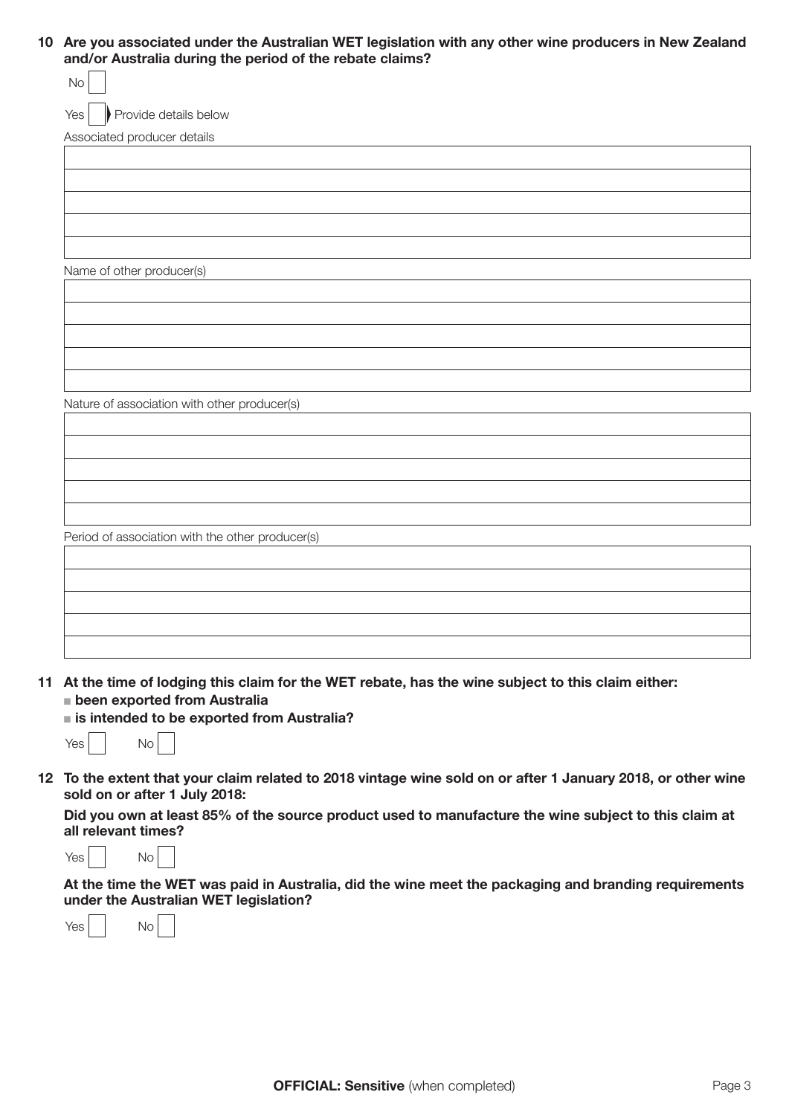| 10 Are you associated under the Australian WET legislation with any other wine producers in New Zealand |
|---------------------------------------------------------------------------------------------------------|
| and/or Australia during the period of the rebate claims?                                                |

| Provide details below<br>Yes                     |  |
|--------------------------------------------------|--|
| Associated producer details                      |  |
|                                                  |  |
|                                                  |  |
|                                                  |  |
|                                                  |  |
|                                                  |  |
|                                                  |  |
| Name of other producer(s)                        |  |
|                                                  |  |
|                                                  |  |
|                                                  |  |
|                                                  |  |
|                                                  |  |
| Nature of association with other producer(s)     |  |
|                                                  |  |
|                                                  |  |
|                                                  |  |
|                                                  |  |
|                                                  |  |
| Period of association with the other producer(s) |  |
|                                                  |  |
|                                                  |  |
|                                                  |  |
|                                                  |  |
|                                                  |  |

 $\square$  been exported from Australia

 $\blacksquare$  is intended to be exported from Australia?

| Yes . |  | No. |
|-------|--|-----|
|-------|--|-----|

12 To the extent that your claim related to 2018 vintage wine sold on or after 1 January 2018, or other wine sold on or after 1 July 2018:

Did you own at least 85% of the source product used to manufacture the wine subject to this claim at all relevant times?



At the time the WET was paid in Australia, did the wine meet the packaging and branding requirements under the Australian WET legislation?

| ⊃≏′ | N∩ |
|-----|----|
|-----|----|